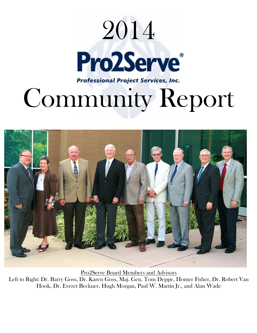



Pro2Serve Board Members and Advisors Left to Right: Dr. Barry Goss, Dr. Karen Goss, Maj. Gen. Tom Deppe, Homer Fisher, Dr. Robert Van Hook, Dr. Everet Beckner, Hugh Morgan, Paul W. Martin Jr., and Alan Wade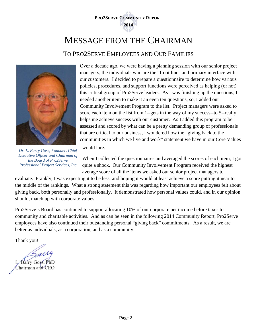

# MESSAGE FROM THE CHAIRMAN

### TO PRO2SERVE EMPLOYEES AND OUR FAMILIES



Over a decade ago, we were having a planning session with our senior project managers, the individuals who are the "front line" and primary interface with our customers. I decided to prepare a questionnaire to determine how various policies, procedures, and support functions were perceived as helping (or not) this critical group of Pro2Serve leaders. As I was finishing up the questions, I needed another item to make it an even ten questions, so, I added our Community Involvement Program to the list. Project managers were asked to score each item on the list from 1--gets in the way of my success--to 5--really helps me achieve success with our customer. As I added this program to be assessed and scored by what can be a pretty demanding group of professionals that are critical to our business, I wondered how the "giving back to the communities in which we live and work" statement we have in our Core Values

*Dr. L. Barry Goss, Founder, Chief Executive Officer and Chairman of the Board of Pro2Serve Professional Project Services, Inc* 

would fare.

When I collected the questionnaires and averaged the scores of each item, I got quite a shock. Our Community Involvement Program received the highest average score of all the items we asked our senior project managers to

evaluate. Frankly, I was expecting it to be less, and hoping it would at least achieve a score putting it near to the middle of the rankings. What a strong statement this was regarding how important our employees felt about giving back, both personally and professionally. It demonstrated how personal values could, and in our opinion should, match up with corporate values.

Pro2Serve's Board has continued to support allocating 10% of our corporate net income before taxes to community and charitable activities. And as can be seen in the following 2014 Community Report, Pro2Serve employees have also continued their outstanding personal "giving back" commitments. As a result, we are better as individuals, as a corporation, and as a community.

Thank you!

arry

Barry Goss, PhD Chairman and CEO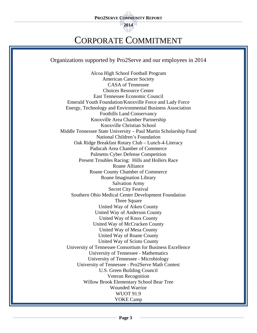**2014** 

# CORPORATE COMMITMENT

Organizations supported by Pro2Serve and our employees in 2014

Alcoa High School Football Program American Cancer Society CASA of Tennessee Choices Resource Center East Tennessee Economic Council Emerald Youth Foundation/Knoxville Force and Lady Force Energy, Technology and Environmental Business Association Foothills Land Conservancy Knoxville Area Chamber Partnership Knoxville Christian School Middle Tennessee State University – Paul Martin Scholarship Fund National Children's Foundation Oak Ridge Breakfast Rotary Club – Lunch-4-Literacy Paducah Area Chamber of Commerce Palmetto Cyber Defense Competition Present Troubles Racing: Hills and Hollers Race Roane Alliance Roane County Chamber of Commerce Roane Imagination Library Salvation Army Secret City Festival Southern Ohio Medical Center Development Foundation Three Square United Way of Aiken County United Way of Anderson County United Way of Knox County United Way of McCracken County United Way of Mesa County United Way of Roane County United Way of Scioto County University of Tennessee Consortium for Business Excellence University of Tennessee - Mathematics University of Tennessee - Microbiology University of Tennessee - Pro2Serve Math Contest U.S. Green Building Council Veteran Recognition Willow Brook Elementary School Bear Tree Wounded Warrior WUOT 91.9 YOKE Camp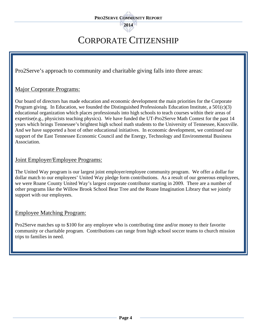# CORPORATE CITIZENSHIP

Pro2Serve's approach to community and charitable giving falls into three areas:

#### Major Corporate Programs:

Our board of directors has made education and economic development the main priorities for the Corporate Program giving. In Education, we founded the Distinguished Professionals Education Institute, a  $501(c)(3)$ educational organization which places professionals into high schools to teach courses within their areas of expertise(e.g., physicists teaching physics). We have funded the UT-Pro2Serve Math Contest for the past 14 years which brings Tennessee's brightest high school math students to the University of Tennessee, Knoxville. And we have supported a host of other educational initiatives. In economic development, we continued our support of the East Tennessee Economic Council and the Energy, Technology and Environmental Business Association.

#### Joint Employer/Employee Programs:

The United Way program is our largest joint employer/employee community program. We offer a dollar for dollar match to our employees' United Way pledge form contributions. As a result of our generous employees, we were Roane County United Way's largest corporate contributor starting in 2009. There are a number of other programs like the Willow Brook School Bear Tree and the Roane Imagination Library that we jointly support with our employees.

#### Employee Matching Program:

Pro2Serve matches up to \$100 for any employee who is contributing time and/or money to their favorite community or charitable program. Contributions can range from high school soccer teams to church mission trips to families in need.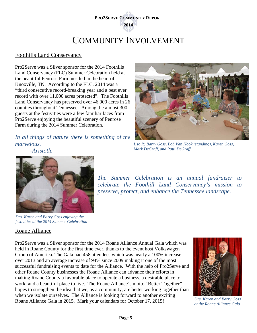**2014** 

# COMMUNITY INVOLVEMENT

#### Foothills Land Conservancy

Pro2Serve was a Silver sponsor for the 2014 Foothills Land Conservancy (FLC) Summer Celebration held at the beautiful Penrose Farm nestled in the heart of Knoxville, TN. According to the FLC, 2014 was a "third consecutive record-breaking year and a best ever record with over 11,000 acres protected". The Foothills Land Conservancy has preserved over 46,000 acres in 26 counties throughout Tennessee. Among the almost 300 guests at the festivities were a few familiar faces from Pro2Serve enjoying the beautiful scenery of Penrose Farm during the 2014 Summer Celebration.

*In all things of nature there is something of the marvelous.* 

*-Aristotle* 



*L to R: Barry Goss, Bob Van Hook (standing), Karen Goss, Mark DeGraff, and Patti DeGraff* 

*The Summer Celebration is an annual fundraiser to celebrate the Foothill Land Conservancy's mission to* 

*preserve, protect, and enhance the Tennessee landscape.* 



*Drs. Karen and Barry Goss enjoying the festivities at the 2014 Summer Celebration* 

#### Roane Alliance

Pro2Serve was a Silver sponsor for the 2014 Roane Alliance Annual Gala which was held in Roane County for the first time ever, thanks to the event host Volkswagen Group of America. The Gala had 458 attendees which was nearly a 100% increase over 2013 and an average increase of 94% since 2009 making it one of the most successful fundraising events to date for the Alliance. With the help of Pro2Serve and other Roane County businesses the Roane Alliance can advance their efforts in making Roane County a favorable place to operate a business, a desirable place to work, and a beautiful place to live. The Roane Alliance's motto "Better Together" hopes to strengthen the idea that we, as a community, are better working together than when we isolate ourselves. The Alliance is looking forward to another exciting Roane Alliance Gala in 2015. Mark your calendars for October 17, 2015!



*Drs. Karen and Barry Goss at the Roane Alliance Gala*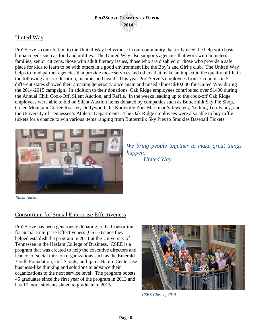### United Way

Pro2Serve's contribution to the United Way helps those in our community that truly need the help with basic human needs such as food and utilities. The United Way also supports agencies that work with homeless families, senior citizens, those with adult literacy issues, those who are disabled or those who provide a safe place for kids to learn to be with others in a good environment like the Boy's and Girl's club. The United Way helps to fund partner agencies that provide those services and others that make an impact in the quality of life in the following areas: education, income, and health. This year Pro2Serve's employees from 7 counties in 5 different states showed their amazing generosity once again and raised almost \$40,000 for United Way during the 2014-2015 campaign. In addition to their donations, Oak Ridge employees contributed over \$1400 during the Annual Chili Cook-Off, Silent Auction, and Raffle. In the weeks leading up to the cook-off Oak Ridge employees were able to bid on Silent Auction items donated by companies such as Buttermilk Sky Pie Shop, Green Mountain Coffee Roaster, Dollywood, the Knoxville Zoo, Markman's Jewelers, Nothing Too Fancy, and the University of Tennessee's Athletic Departments. The Oak Ridge employees were also able to buy raffle tickets for a chance to win various items ranging from Buttermilk Sky Pies to Smokies Baseball Tickets.



*We bring people together to make great things happen. -United Way* 

 *Silent Auction*

#### Consortium for Social Enterprise Effectiveness

Pro2Serve has been generously donating to the Consortium for Social Enterprise Effectiveness (CSEE) since they helped establish the program in 2011 at the University of Tennessee in the Haslam College of Business. CSEE is a program that was created to help the executive directors and leaders of social mission organizations such as the Emerald Youth Foundation, Girl Scouts, and Ijams Nature Center use business-like thinking and solutions to advance their organizations to the next service level. The program boosts 45 graduates since the first year of the program in 2013 and has 17 more students slated to graduate in 2015.



*CSEE Class of 2014*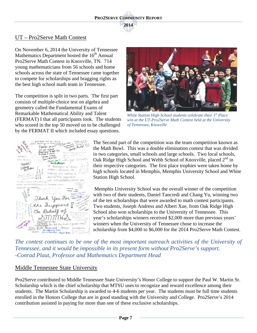#### UT – Pro2Serve Math Contest

On November 6, 2014 the University of Tennessee Mathematics Department hosted the  $16<sup>th</sup>$  Annual Pro2Serve Math Contest in Knoxville, TN. 714 young mathematicians from 56 schools and home schools across the state of Tennessee came together to compete for scholarships and bragging rights as the best high school math team in Tennessee.

The competition is split in two parts. The first part consists of multiple-choice test on algebra and geometry called the Fundamental Exams of Remarkable Mathematical Ability and Talent (FERMAT) I that all participants took. The students who scored in the top 50 moved on to be challenged by the FERMAT II which included essay questions.



*White Station High School students celebrate their 1st Place win at the UT-Pro2Serve Math Contest held at the University of Tennessee, Knoxville*



The Second part of the competition was the team competition known as the Math Bowl. This was a double elimination contest that was divided in two categories, small schools and large schools. Two local schools, Oak Ridge High School and Webb School of Knoxville, placed  $2<sup>nd</sup>$  in their respective categories. The first place trophies were taken home by high schools located in Memphis, Memphis University School and White Station High School.

 Memphis University School was the overall winner of the competition with two of their students, Daniel Tancredi and Chang Yu, winning two of the ten scholarships that were awarded to math contest participants. Two students, Joseph Andress and Albert Xue, from Oak Ridge High School also won scholarships to the University of Tennessee. This year's scholarships winners received \$2,000 more than previous years' winners when the University of Tennessee chose to increase the scholarship from \$4,000 to \$6,000 for the 2014 Pro2Serve Math Contest.

The contest continues to be one of the most important outreach activities of the University of *Tennessee, and it would be impossible in its present form without Pro2Serve's support. -Conrad Plaut, Professor and Mathematics Department Head*

#### Middle Tennessee State University

Pro2Serve contributed to Middle Tennessee State University's Honor College to support the Paul W. Martin Sr. Scholarship which is the chief scholarship that MTSU uses to recognize and reward excellence among their students. The Martin Scholarship is awarded to 4-6 students per year. The students must be full time students enrolled in the Honors College that are in good standing with the University and College. Pro2Serve's 2014 contribution assisted in paying for more than one of these exclusive scholarships.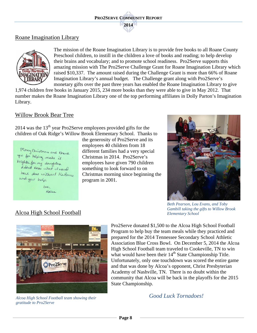#### Roane Imagination Library



The mission of the Roane Imagination Library is to provide free books to all Roane County Preschool children, to instill in the children a love of books and reading; to help develop their brains and vocabulary; and to promote school readiness. Pro2Serve supports this amazing mission with The Pro2Serve Challenge Grant for Roane Imagination Library which raised \$10,337. The amount raised during the Challenge Grant is more than 66% of Roane Imagination Library's annual budget. The Challenge grant along with Pro2Serve's monetary gifts over the past three years has enabled the Roane Imagination Library to give

1,974 children free books in January 2015, 234 more books than they were able to give in May 2012. That number makes the Roane Imagination Library one of the top performing affiliates in Dolly Parton's Imagination Library.

#### Willow Brook Bear Tree

 $2014$  was the  $13<sup>th</sup>$  year Pro2Serve employees provided gifts for the children of Oak Ridge's Willow Brook Elementary School. Thanks to



Alcoa High School Football

the generosity of Pro2Serve and its employees 40 children from 18 different families had a very special Christmas in 2014. Pro2Serve's employees have given 790 children something to look forward to on Christmas morning since beginning the program in 2001.



*Beth Pearson, Lou Evans, and Toby Gambill taking the gifts to Willow Brook Elementary School* 



*Alcoa High School Football team showing their gratitude to Pro2Serve* 

Pro2Serve donated \$1,500 to the Alcoa High School Football Program to help buy the team meals while they practiced and prepared for the 2014 Tennessee Secondary School Athletic Association Blue Cross Bowl. On December 5, 2014 the Alcoa High School Football team traveled to Cookeville, TN to win what would have been their 14<sup>th</sup> State Championship Title. Unfortunately, only one touchdown was scored the entire game and that was done by Alcoa's opponent, Christ Presbyterian Academy of Nashville, TN. There is no doubt within the community that Alcoa will be back in the playoffs for the 2015 State Championship.

*Good Luck Tornadoes!*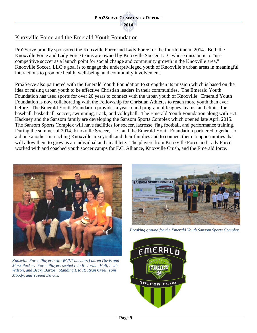#### Knoxville Force and the Emerald Youth Foundation

Pro2Serve proudly sponsored the Knoxville Force and Lady Force for the fourth time in 2014. Both the Knoxville Force and Lady Force teams are owned by Knoxville Soccer, LLC whose mission is to "use competitive soccer as a launch point for social change and community growth in the Knoxville area." Knoxville Soccer, LLC's goal is to engage the underprivileged youth of Knoxville's urban areas in meaningful interactions to promote health, well-being, and community involvement.

Pro2Serve also partnered with the Emerald Youth Foundation to strengthen its mission which is based on the idea of raising urban youth to be effective Christian leaders in their communities. The Emerald Youth Foundation has used sports for over 20 years to connect with the urban youth of Knoxville. Emerald Youth Foundation is now collaborating with the Fellowship for Christian Athletes to reach more youth than ever before. The Emerald Youth Foundation provides a year round program of leagues, teams, and clinics for baseball, basketball, soccer, swimming, track, and volleyball. The Emerald Youth Foundation along with H.T. Hackney and the Sansom family are developing the Sansom Sports Complex which opened late April 2015. The Sansom Sports Complex will have facilities for soccer, lacrosse, flag football, and performance training. During the summer of 2014, Knoxville Soccer, LLC and the Emerald Youth Foundation partnered together to aid one another in reaching Knoxville area youth and their families and to connect them to opportunities that will allow them to grow as an individual and an athlete. The players from Knoxville Force and Lady Force worked with and coached youth soccer camps for F.C. Alliance, Knoxville Crush, and the Emerald force.



*Knoxville Force Players with WVLT anchors Lauren Davis and Mark Packer. Force Players seated L to R: Jordan Hall, Leah Wilson, and Becky Bartos. Standing L to R: Ryan Creel, Tom Moody, and Yazeed Davids.* 



*Breaking ground for the Emerald Youth Sansom Sports Complex.*

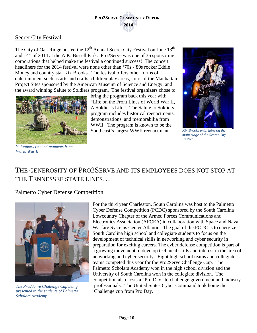#### Secret City Festival

The City of Oak Ridge hosted the  $12<sup>th</sup>$  Annual Secret City Festival on June  $13<sup>th</sup>$ and  $14<sup>th</sup>$  of 2014 at the A.K. Bissell Park. Pro2Serve was one of 36 sponsoring corporations that helped make the festival a continued success! The concert headliners for the 2014 festival were none other than '70s -'80s rocker Eddie Money and country star Kix Brooks. The festival offers other forms of entertainment such as arts and crafts, children play areas, tours of the Manhattan Project Sites sponsored by the American Museum of Science and Energy, and the award winning Salute to Soldiers program. The festival organizers chose to



bring the program back this year with "Life on the Front Lines of World War II, A Soldier's Life". The Salute to Soldiers program includes historical reenactments, demonstrations, and memorabilia from WWII. The program is known to be the Southeast's largest WWII reenactment.



*Kix Brooks entertains on the main stage of the Secret City Festival*

*Volunteers reenact moments from World War II* 

# THE GENEROSITY OF PRO2SERVE AND ITS EMPLOYEES DOES NOT STOP AT THE TENNESSEE STATE LINES…

#### Palmetto Cyber Defense Competition



*The Pro2Serve Challenge Cup being presented to the students of Palmetto Scholars Academy*

For the third year Charleston, South Carolina was host to the Palmetto Cyber Defense Competition (PCDC) sponsored by the South Carolina Lowcountry Chapter of the Armed Forces Communications and Electronics Association (AFCEA) in collaboration with Space and Naval Warfare Systems Center Atlantic. The goal of the PCDC is to energize South Carolina high school and collegiate students to focus on the development of technical skills in networking and cyber security in preparation for exciting careers. The cyber defense competition is part of a growing movement to develop technical skills and interest in the area of networking and cyber security. Eight high school teams and collegiate teams competed this year for the Pro2Serve Challenge Cup. The Palmetto Scholars Academy won in the high school division and the University of South Carolina won in the collegiate division. The competition also hosts a "Pro Day" to challenge government and industry professionals. The United States Cyber Command took home the Challenge cup from Pro Day.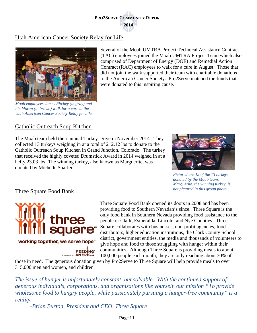#### Utah American Cancer Society Relay for Life



*Moab employees James Ritchey (in gray) and Liz Moran (in brown) walk for a cure at the Utah American Cancer Society Relay for Life* 

Several of the Moab UMTRA Project Technical Assistance Contract (TAC) employees joined the Moab UMTRA Project Team which also comprised of Department of Energy (DOE) and Remedial Action Contract (RAC) employees to walk for a cure in August. Those that did not join the walk supported their team with charitable donations to the American Cancer Society. Pro2Serve matched the funds that were donated to this inspiring cause.

#### Catholic Outreach Soup Kitchen

The Moab team held their annual Turkey Drive in November 2014. They collected 13 turkeys weighing in at a total of 212.12 lbs to donate to the Catholic Outreach Soup Kitchen in Grand Junction, Colorado. The turkey that received the highly coveted Drumstick Award in 2014 weighed in at a hefty 23.03 lbs! The winning turkey, also known as Marguerite, was donated by Michelle Shaffer.



*Pictured are 12 of the 13 turkeys donated by the Moab team. Marguerite, the winning turkey, is not pictured in this group photo***.**

#### Three Square Food Bank



Three Square Food Bank opened its doors in 2008 and has been providing food to Southern Nevadan's since. Three Square is the only food bank in Southern Nevada providing food assistance to the people of Clark, Esmeralda, Lincoln, and Nye Counties. Three Square collaborates with businesses, non-profit agencies, food distributors, higher education institutions, the Clark County School district, government entities, the media and thousands of volunteers to give hope and food to those struggling with hunger within their communities. Although Three Square is providing meals to about 100,000 people each month, they are only reaching about 30% of

those in need. The generous donation given by Pro2Serve to Three Square will help provide meals to over 315,000 men and women, and children.

*The issue of hunger is unfortunately constant, but solvable. With the continued support of generous individuals, corporations, and organizations like yourself, our mission "To provide wholesome food to hungry people, while passionately pursuing a hunger-free community" is a reality.* 

*-Brian Burton, President and CEO, Three Square*